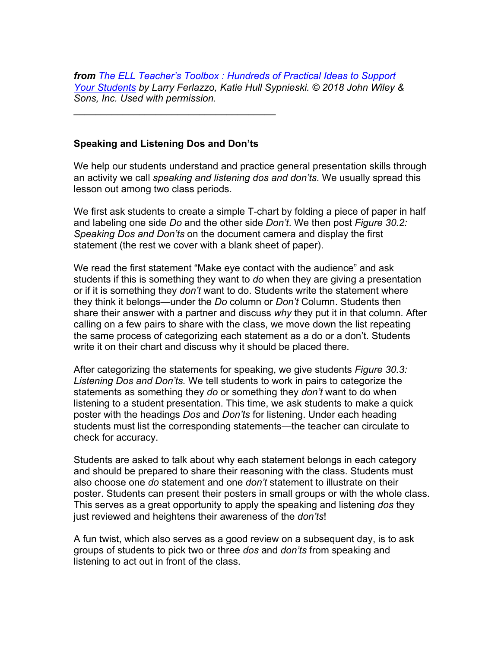*from The ELL Teacher's Toolbox : Hundreds of Practical Ideas to Support Your Students by Larry Ferlazzo, Katie Hull Sypnieski. © 2018 John Wiley & Sons, Inc. Used with permission.*

## **Speaking and Listening Dos and Don'ts**

\_\_\_\_\_\_\_\_\_\_\_\_\_\_\_\_\_\_\_\_\_\_\_\_\_\_\_\_\_\_\_\_\_\_\_\_\_

We help our students understand and practice general presentation skills through an activity we call *speaking and listening dos and don'ts*. We usually spread this lesson out among two class periods.

We first ask students to create a simple T-chart by folding a piece of paper in half and labeling one side *Do* and the other side *Don't*. We then post *Figure 30.2: Speaking Dos and Don'ts* on the document camera and display the first statement (the rest we cover with a blank sheet of paper).

We read the first statement "Make eye contact with the audience" and ask students if this is something they want to *do* when they are giving a presentation or if it is something they *don't* want to do. Students write the statement where they think it belongs—under the *Do* column or *Don't* Column. Students then share their answer with a partner and discuss *why* they put it in that column. After calling on a few pairs to share with the class, we move down the list repeating the same process of categorizing each statement as a do or a don't. Students write it on their chart and discuss why it should be placed there.

After categorizing the statements for speaking, we give students *Figure 30.3: Listening Dos and Don'ts.* We tell students to work in pairs to categorize the statements as something they *do* or something they *don't* want to do when listening to a student presentation. This time, we ask students to make a quick poster with the headings *Dos* and *Don'ts* for listening. Under each heading students must list the corresponding statements—the teacher can circulate to check for accuracy.

Students are asked to talk about why each statement belongs in each category and should be prepared to share their reasoning with the class. Students must also choose one *do* statement and one *don't* statement to illustrate on their poster. Students can present their posters in small groups or with the whole class. This serves as a great opportunity to apply the speaking and listening *dos* they just reviewed and heightens their awareness of the *don'ts*!

A fun twist, which also serves as a good review on a subsequent day, is to ask groups of students to pick two or three *dos* and *don'ts* from speaking and listening to act out in front of the class.